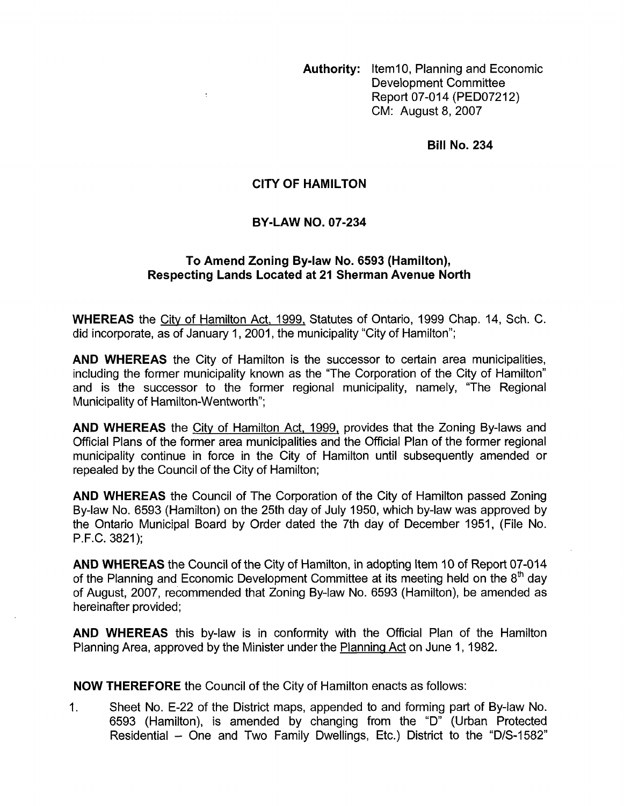**Authority: Item10, Planning and Economic** Development Committee Report 07-014 (PED07212) CM: August 8,2007

**Bill No. 234** 

## **CITY OF HAMILTON**

## **BY-LAW NO. 07-234**

## To Amend Zoning By-law No. 6593 (Hamilton), **Respecting Lands Located at 21 Sherman Avenue North**

**WHEREAS** the City of Hamilton Act, 1999, Statutes of Ontario, 1999 Chap. 14, Sch. C. did incorporate, as of January 1, 2001, the municipality "City of Hamilton";

**AND WHEREAS** the City of Hamilton is the successor to certain area municipalities, including the former municipality known as the "The Corporation of the City of Hamilton" and is the successor to the former regional municipality, namely, "The Regional Municipality of Hamilton-Wentworth";

**AND WHEREAS** the City of Hamilton Act, 1999, provides that the Zoning By-laws and Official Plans of the former area municipalities and the Official Plan of the former regional municipality continue in force in the City of Hamilton until subsequently amended or repealed by the Council of the City of Hamilton;

**AND WHEREAS** the Council of The Corporation of the City of Hamilton passed Zoning By-law No. 6593 (Hamilton) on the 25th day of July 1950, which by-law was approved by the Ontario Municipal Board by Order dated the 7th day of December 1951, (File No. P.F.C. 3821);

**AND WHEREAS** the Council of the City of Hamilton, in adopting Item 10 of Report 07-014 of the Planning and Economic Development Committee at its meeting held on the 8<sup>th</sup> day of August, 2007, recommended that Zoning By-law No. 6593 (Hamilton), be amended as hereinafter provided;

**AND WHEREAS** this by-law is in conformity with the Official Plan of the Hamilton Planning Area, approved by the Minister under the Planning Act on June 1, 1982.

**NOW THEREFORE** the Council of the City of Hamilton enacts as follows:

1. Sheet No. E-22 of the District maps, appended to and forming part of By-law No. 6593 (Hamilton), is amended by changing from the "D" (Urban Protected Residential - One and Two Family Dwellings, Etc.) District to the "D/S-1582"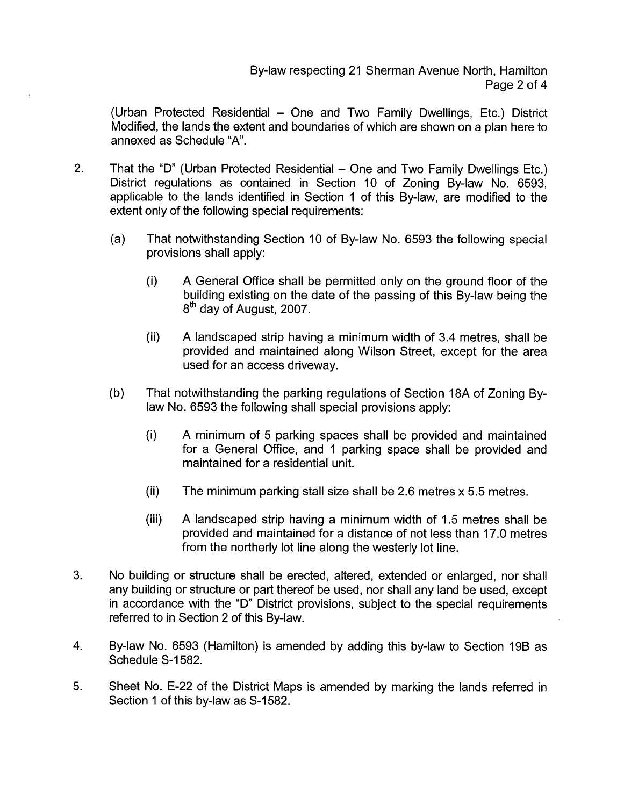(Urban Protected Residential - One and Two Family Dwellings, Etc.) District Modified, the lands the extent and boundaries of which are shown on a plan here to annexed as Schedule "A".

- 2. That the "D" (Urban Protected Residential One and Two Family Dwellings Etc.) District regulations as contained in Section 10 of Zoning By-law No. 6593. applicable to the lands identified in Section 1 of this By-law, are modified to the extent only of the following special requirements:
	- (a) That notwithstanding Section 10 of By-law No. 6593 the following special provisions shall apply:
		- (i) A General Office shall be permitted only on the ground floor of the building existing on the date of the passing of this By-law being the 8<sup>th</sup> day of August, 2007.
		- (ii) A landscaped strip having a minimum width of 3.4 metres, shall be provided and maintained along Wilson Street, except for the area used for an access driveway.
	- (b) That notwithstanding the parking regulations of Section 18A of Zoning Bylaw No. 6593 the following shall special provisions apply:
		- (i) A minimum of 5 parking spaces shall be provided and maintained for a General Office, and 1 parking space shall be provided and maintained for a residential unit.
		- (ii) The minimum parking stall size shall be 2.6 metres  $x$  5.5 metres.
		- (iii) A landscaped strip having a minimum width of 1.5 metres shall be provided and maintained for a distance of not less than 17.0 metres from the northerly lot line along the westerly lot line.
- **3.** No building or structure shall be erected, altered, extended or enlarged, nor shall any building or structure or part thereof be used, nor shall any land be used, except in accordance with the "D" District provisions, subject to the special requirements referred to in Section 2 of this By-law.
- 4. By-law No. 6593 (Hamilton) is amended by adding this by-law to Section 19B as Schedule S-1582.
- *5.* Sheet No. E-22 of the District Maps is amended by marking the lands referred in Section 1 of this by-law as S-1582.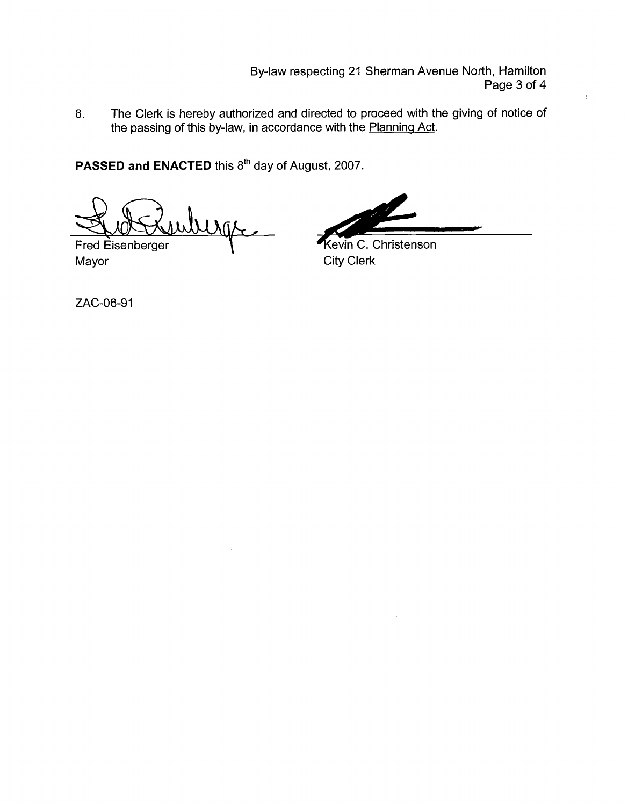By-law respecting 21 Sherman Avenue North, Hamilton Page 3 of 4

6. The Clerk is hereby authorized and directed to proceed with the giving of notice of the passing of this by-law, in accordance with the Planning Act.

PASSED and ENACTED this 8<sup>th</sup> day of August, 2007.

<u>I Sig</u>

**Fred Eisenberger** Mayor **City Clerk** 

**Solution:** Page 3 of 4<br>
Fraction Page 3 of 4<br>
acted to proceed with the giving of notice of<br>
serith the <u>Planning Act</u>.<br>
Inst. 2007.<br> **Kevin C. Christenson**<br>
City Clerk

ZAC-06-91